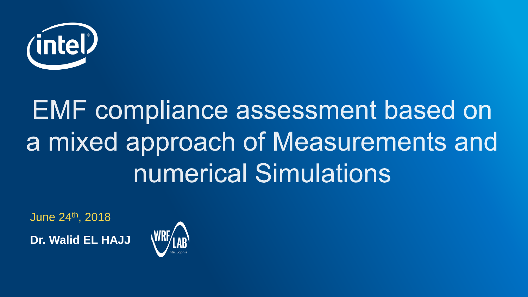

# **EMF compliance assessment based on** a mixed approach of Measurements and numerical Simulations

June 24th, 2018 **Dr. Walid EL HAJJ**

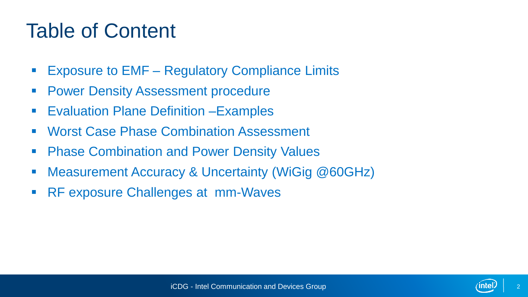## Table of Content

- **Exposure to EMF Regulatory Compliance Limits**
- **Power Density Assessment procedure**
- **Evaluation Plane Definition Examples**
- **Worst Case Phase Combination Assessment**
- Phase Combination and Power Density Values
- Measurement Accuracy & Uncertainty (WiGig @60GHz)
- RF exposure Challenges at mm-Waves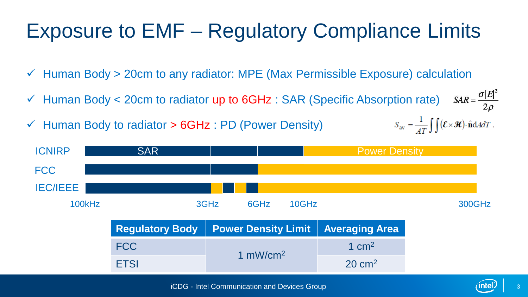## Exposure to EMF – Regulatory Compliance Limits

- $\checkmark$  Human Body > 20cm to any radiator: MPE (Max Permissible Exposure) calculation
- $SAR = \frac{\sigma |E|^2}{2\rho}$  $\checkmark$  Human Body < 20cm to radiator up to 6GHz : SAR (Specific Absorption rate)
- $\checkmark$  Human Body to radiator  $>$  6GHz : PD (Power Density)

 $S_{\text{av}} = \frac{1}{4T} \int \int (\mathcal{E} \times \mathcal{H}) \cdot \hat{\mathbf{n}} dA dT$ .

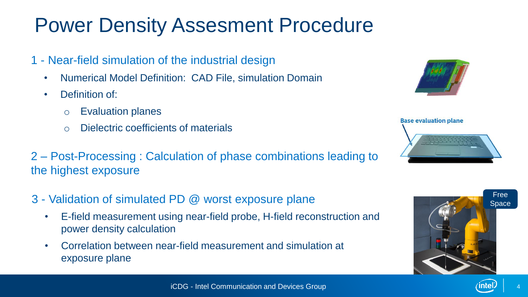#### Power Density Assesment Procedure

- 1 Near-field simulation of the industrial design
	- Numerical Model Definition: CAD File, simulation Domain
	- Definition of:
		- o Evaluation planes
		- o Dielectric coefficients of materials
- 2 Post-Processing : Calculation of phase combinations leading to the highest exposure
- 3 Validation of simulated PD @ worst exposure plane
	- E-field measurement using near-field probe, H-field reconstruction and power density calculation
	- Correlation between near-field measurement and simulation at exposure plane





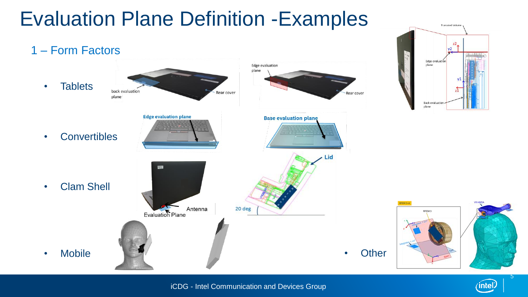#### Evaluation Plane Definition -Examples



**Truncated Volume** 

intel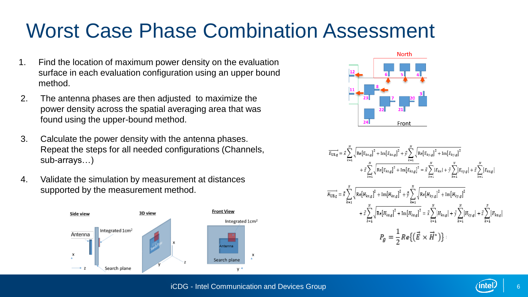## Worst Case Phase Combination Assessment

- 1. Find the location of maximum power density on the evaluation surface in each evaluation configuration using an upper bound method.
- 2. The antenna phases are then adjusted to maximize the power density across the spatial averaging area that was found using the upper-bound method.
- 3. Calculate the power density with the antenna phases. Repeat the steps for all needed configurations (Channels, sub-arrays…)
- 4. Validate the simulation by measurement at distances supported by the measurement method.





$$
\overrightarrow{E_{UB,g}} = \vec{x} \sum_{k=1}^{N} \sqrt{\text{Re}[E_{kx,g}]^{2} + \text{Im}[E_{kx,g}]^{2}} + \vec{y} \sum_{k=1}^{N} \sqrt{\text{Re}[E_{ky,g}]^{2} + \text{Im}[E_{ky,g}]^{2}} + \text{Im}[E_{ky,g}]^{2}
$$
\n
$$
+ \vec{z} \sum_{k=1}^{N} \sqrt{\text{Re}[E_{kx,g}]^{2} + \text{Im}[E_{kx,g}]^{2}} = \vec{x} \sum_{k=1}^{N} |E_{kx}| + \vec{y} \sum_{k=1}^{N} |E_{ky,g}| + \vec{z} \sum_{k=1}^{N} |E_{kx,g}|
$$
\n
$$
\overrightarrow{H_{UB,g}} = \vec{x} \sum_{k=1}^{N} \sqrt{\text{Re}[H_{kx,g}]^{2} + \text{Im}[H_{kx,g}]^{2}} + \vec{y} \sum_{k=1}^{N} \sqrt{\text{Re}[H_{ky,g}]^{2} + \text{Im}[H_{ky,g}]^{2}}
$$
\n
$$
+ \vec{z} \sum_{k=1}^{N} \sqrt{\text{Re}[H_{kx,g}]^{2} + \text{Im}[H_{kx,g}]^{2}} = \vec{x} \sum_{k=1}^{N} |H_{kx,g}| + \vec{y} \sum_{k=1}^{N} |H_{ky,g}| + \vec{z} \sum_{k=1}^{N} |H_{kx,g}|
$$
\n
$$
P_{g} = \frac{1}{2} \text{Re}\{(\vec{E} \times \vec{H}^{*})\}:
$$

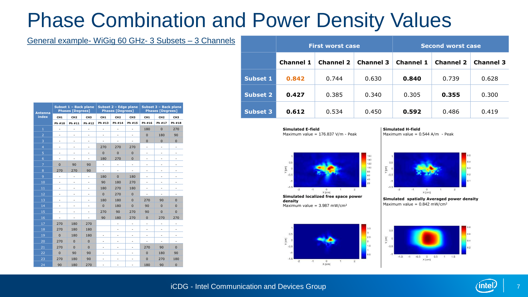#### Phase Combination and Power Density Values

#### General example- WiGig 60 GHz- 3 Subsets – 3 Channels

| <b>Antenna</b><br>index | Subset 1 - Back plane<br><b>Phases [Degrees]</b> |                          |                          | Subset 2 - Edge plane<br><b>Phases [Degrees]</b> |                          |                 | Subset 3 - Back plane<br><b>Phases [Degrees]</b> |                 |                              |
|-------------------------|--------------------------------------------------|--------------------------|--------------------------|--------------------------------------------------|--------------------------|-----------------|--------------------------------------------------|-----------------|------------------------------|
|                         | CH <sub>1</sub>                                  | CH <sub>2</sub>          | CH <sub>3</sub>          | CH <sub>1</sub>                                  | CH <sub>2</sub>          | CH <sub>3</sub> | CH <sub>1</sub>                                  | CH <sub>2</sub> | CH <sub>3</sub>              |
|                         | Ph #10                                           | Ph #11                   | Ph #12                   | Ph #13                                           | Ph #14                   | Ph #15          | Ph #16                                           | Ph #17          | Ph #18                       |
| $\mathbf 1$             | ٠                                                | ÷,                       | ٠                        | ٠                                                | $\overline{\phantom{0}}$ | ٠               | 180                                              | $\overline{0}$  | 270                          |
| $\overline{2}$          | $\overline{a}$                                   | ٠                        | ٠                        | ٠                                                | -                        | ÷,              | $\mathbf{0}$                                     | 180             | 90                           |
| 3                       | $\overline{a}$                                   | -                        | -                        | ٠                                                | ٠                        | ÷,              | $\mathbf{0}$                                     | $\mathbf{0}$    | $\mathbf{0}$                 |
| 4                       | $\overline{a}$                                   | ÷,                       | ÷,                       | 270                                              | 270                      | 270             | ÷,                                               | ÷,              | $\qquad \qquad \blacksquare$ |
| 5                       | $\overline{\phantom{a}}$                         | -                        | $\overline{\phantom{0}}$ | $\overline{0}$                                   | $\mathbf{0}$             | $\mathbf{0}$    | -                                                | -               | $\overline{\phantom{a}}$     |
| 6                       | ÷,                                               | ٠                        | ÷,                       | 180                                              | 270                      | $\mathbf{0}$    | ٠                                                | ÷,              | ٠                            |
| $\overline{z}$          | $\mathbf{0}$                                     | 90                       | 90                       | ÷,                                               | -                        | ÷,              | -                                                | -               | ٠                            |
| 8                       | 270                                              | 270                      | 90                       | ÷,                                               | ÷,                       | ÷,              | ٠                                                | ÷,              | Ĭ.                           |
| 9                       | ٠                                                | ٠                        | ÷,                       | 180                                              | $\mathbf{0}$             | 180             | ٠                                                | ÷,              | -                            |
| 10                      | $\overline{a}$                                   | -                        | ٠                        | 90                                               | 180                      | 270             | -                                                | -               | -                            |
| 11                      | ٠                                                | ÷,                       | ÷,                       | 180                                              | 270                      | 180             | $\overline{a}$                                   | ÷,              | ٠                            |
| 12                      | ٠                                                | -                        | $\overline{\phantom{0}}$ | $\mathbf{0}$                                     | 270                      | $\mathbf{0}$    | ٠                                                | ÷,              | ٠                            |
| 13                      | ٠                                                | ÷,                       | ÷,                       | 180                                              | 180                      | $\overline{0}$  | 270                                              | 90              | $\mathbf 0$                  |
| 14                      | $\overline{a}$                                   | ٠                        | -                        | $\Omega$                                         | 180                      | $\Omega$        | 90                                               | $\Omega$        | $\Omega$                     |
| 15                      | $\overline{a}$                                   | $\overline{\phantom{0}}$ | ٠                        | 270                                              | 90                       | 270             | 90                                               | $\mathbf{0}$    | $\mathbf 0$                  |
| 16                      | $\overline{\phantom{m}}$                         | ÷,                       | ÷,                       | 90                                               | 180                      | 270             | $\mathbf{0}$                                     | 270             | 270                          |
| 17                      | 270                                              | 180                      | 270                      |                                                  | -                        | ٠               | -                                                | ٠               | -                            |
| 18                      | 270                                              | 180                      | 180                      |                                                  | ٠                        | ÷,              | ٠                                                | ÷,              |                              |
| 19                      | $\Omega$                                         | 180                      | 180                      | -                                                | ٠                        | ٠               | -                                                | -               | ٠                            |
| 20                      | 270                                              | $\overline{0}$           | $\mathbf{0}$             | ÷,                                               | ÷,                       | ٠               | ÷,                                               | ÷,              | $\overline{a}$               |
| 21                      | 270                                              | $\Omega$                 | $\Omega$                 | ÷,                                               | ٠                        | ÷,              | 270                                              | 90              | $\Omega$                     |
| 22                      | $\mathbf{0}$                                     | 90                       | 90                       | -                                                | -                        | ÷,              | $\mathbf{0}$                                     | 180             | 90                           |
| 23                      | 270                                              | 180                      | 90                       | ٠                                                | ٠                        | ٠               | $\overline{0}$                                   | 270             | 180                          |
| 24                      | 90                                               | 180                      | 270                      | -                                                | -                        | -               | 180                                              | 90              | $\mathbf{0}$                 |

|                 |                  | <b>First worst case</b> |                  | <b>Second worst case</b> |                  |                  |  |
|-----------------|------------------|-------------------------|------------------|--------------------------|------------------|------------------|--|
|                 | <b>Channel 1</b> | <b>Channel 2</b>        | <b>Channel 3</b> | <b>Channel 1</b>         | <b>Channel 2</b> | <b>Channel 3</b> |  |
| Subset 1        | 0.842            | 0.744                   | 0.630            | 0.840                    | 0.739            | 0.628            |  |
| Subset 2        | 0.427            | 0.385                   | 0.340            | 0.305                    | 0.355            | 0.300            |  |
| <b>Subset 3</b> | 0.612            | 0.534                   | 0.450            | 0.592                    | 0.486            | 0.419            |  |

**Simulated E-field** Maximum value = 176.837 V/m - Peak **Simulated H-field** Maximum value =  $0.544$  A/m - Peak



**Simulated localized free space power density** Maximum value =  $3.987$  mW/cm<sup>2</sup>





**Simulated spatially Averaged power density** Maximum value =  $0.842$  mW/cm<sup>2</sup>



#### iCDG - Intel Communication and Devices Group

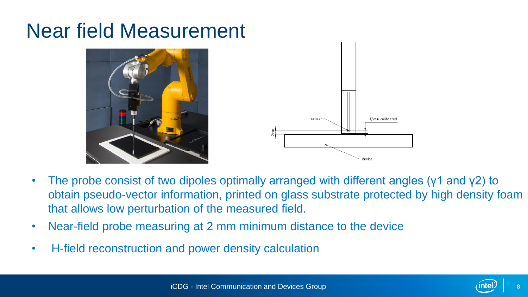#### Near field Measurement





- The probe consist of two dipoles optimally arranged with different angles ( $\gamma$ 1 and  $\gamma$ 2) to obtain pseudo-vector information, printed on glass substrate protected by high density foam that allows low perturbation of the measured field.
- Near-field probe measuring at 2 mm minimum distance to the device
- H-field reconstruction and power density calculation

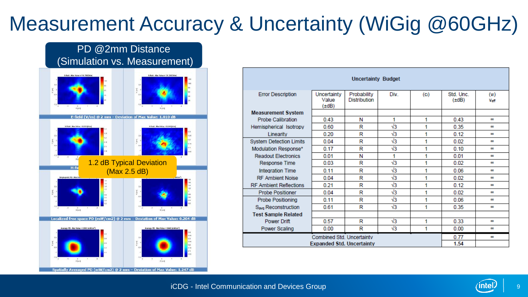## Measurement Accuracy & Uncertainty (WiGig @60GHz)



| <b>Uncertainty Budget</b>        |                                    |                                    |            |                   |                         |                           |  |
|----------------------------------|------------------------------------|------------------------------------|------------|-------------------|-------------------------|---------------------------|--|
| <b>Error Description</b>         | Uncertainty<br>Value<br>$(\pm dB)$ | Probability<br><b>Distribution</b> | Div.       | (c <sub>0</sub> ) | Std. Unc.<br>$(\pm dB)$ | (w <sub>1</sub> )<br>Veff |  |
| <b>Measurement System</b>        |                                    |                                    |            |                   |                         |                           |  |
| <b>Probe Calibration</b>         | 0.43                               | N                                  | 1          | 1                 | 0.43                    | $\infty$                  |  |
| Hemispherical Isotropy           | 0.60                               | R                                  | $\sqrt{3}$ | 1                 | 0.35                    | $\infty$                  |  |
| Linearity                        | 0.20                               | R                                  | $\sqrt{3}$ | 1                 | 0.12                    | co.                       |  |
| <b>System Detection Limits</b>   | 0.04                               | R                                  | $\sqrt{3}$ | 1                 | 0.02                    | $\infty$                  |  |
| Modulation Response*             | 0.17                               | R                                  | $\sqrt{3}$ | 1                 | 0.10                    | œ                         |  |
| <b>Readout Flectronics</b>       | 0.01                               | N                                  | 1          | 1                 | 0.01                    | œ                         |  |
| <b>Response Time</b>             | 0.03                               | R                                  | $\sqrt{3}$ | 1                 | 0.02                    | $\infty$                  |  |
| <b>Integration Time</b>          | 0.11                               | R                                  | $\sqrt{3}$ | 1                 | 0.06                    | $\infty$                  |  |
| <b>RF Ambient Noise</b>          | 0.04                               | R                                  | $\sqrt{3}$ | 1                 | 0.02                    | œ                         |  |
| <b>RF Ambient Reflections</b>    | 0.21                               | R                                  | $\sqrt{3}$ | 1                 | 0.12                    | oo.                       |  |
| <b>Probe Positioner</b>          | 0.04                               | R                                  | $\sqrt{3}$ | 1                 | 0.02                    | $\infty$                  |  |
| <b>Probe Positioning</b>         | 0.11                               | R                                  | $\sqrt{3}$ | 1                 | 0.06                    | oo.                       |  |
| S <sub>avg</sub> Reconstruction  | 0.61                               | R                                  | $\sqrt{3}$ | 1                 | 0.35                    | $\infty$                  |  |
| <b>Test Sample Related</b>       |                                    |                                    |            |                   |                         |                           |  |
| <b>Power Drift</b>               | 0.57                               | R                                  | $\sqrt{3}$ | 1                 | 0.33                    | $\infty$                  |  |
| Power Scaling                    | 0.00                               | R                                  | $\sqrt{3}$ | 1                 | 0.00                    | $\infty$                  |  |
| <b>Combined Std. Uncertainty</b> | 0.77                               | $\infty$                           |            |                   |                         |                           |  |
| <b>Expanded Std. Uncertainty</b> | 1.54                               |                                    |            |                   |                         |                           |  |

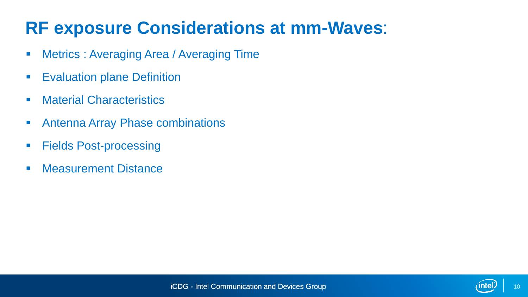#### **RF exposure Considerations at mm-Waves**:

- **Metrics : Averaging Area / Averaging Time**
- **Evaluation plane Definition**
- **Material Characteristics**
- Antenna Array Phase combinations
- Fields Post-processing
- **Measurement Distance**